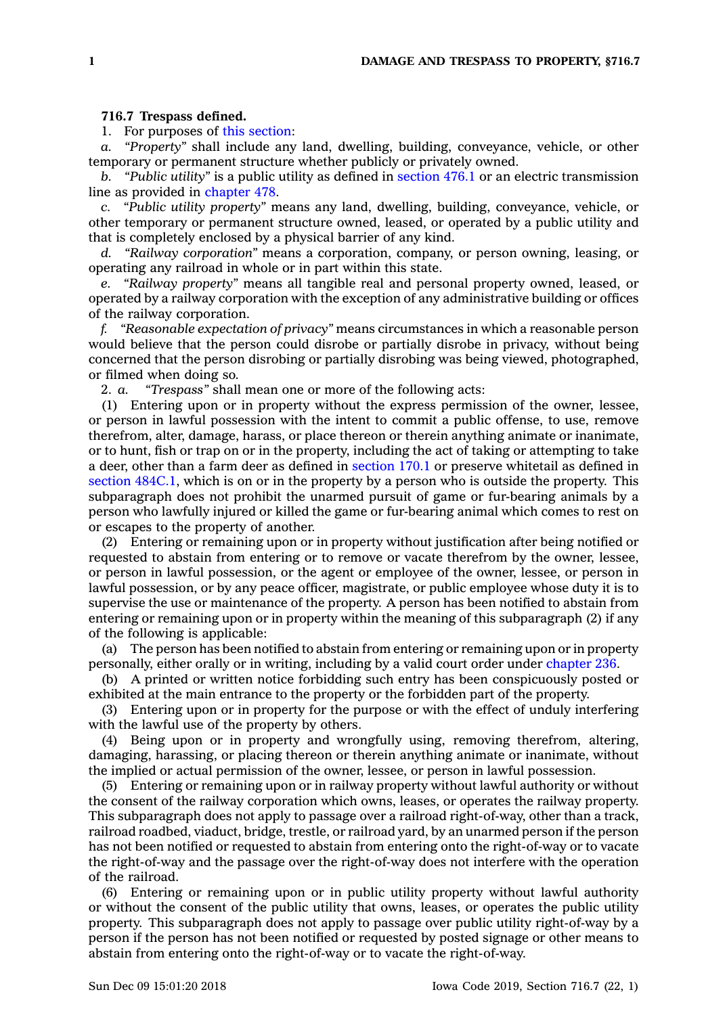## **716.7 Trespass defined.**

1. For purposes of this [section](https://www.legis.iowa.gov/docs/code/716.7.pdf):

*a. "Property"* shall include any land, dwelling, building, conveyance, vehicle, or other temporary or permanent structure whether publicly or privately owned.

*b. "Public utility"* is <sup>a</sup> public utility as defined in [section](https://www.legis.iowa.gov/docs/code/476.1.pdf) 476.1 or an electric transmission line as provided in [chapter](https://www.legis.iowa.gov/docs/code//478.pdf) 478.

*c. "Public utility property"* means any land, dwelling, building, conveyance, vehicle, or other temporary or permanent structure owned, leased, or operated by <sup>a</sup> public utility and that is completely enclosed by <sup>a</sup> physical barrier of any kind.

*d. "Railway corporation"* means <sup>a</sup> corporation, company, or person owning, leasing, or operating any railroad in whole or in part within this state.

*e. "Railway property"* means all tangible real and personal property owned, leased, or operated by <sup>a</sup> railway corporation with the exception of any administrative building or offices of the railway corporation.

*f. "Reasonable expectation of privacy"* means circumstances in which <sup>a</sup> reasonable person would believe that the person could disrobe or partially disrobe in privacy, without being concerned that the person disrobing or partially disrobing was being viewed, photographed, or filmed when doing so.

2. *a. "Trespass"* shall mean one or more of the following acts:

(1) Entering upon or in property without the express permission of the owner, lessee, or person in lawful possession with the intent to commit <sup>a</sup> public offense, to use, remove therefrom, alter, damage, harass, or place thereon or therein anything animate or inanimate, or to hunt, fish or trap on or in the property, including the act of taking or attempting to take <sup>a</sup> deer, other than <sup>a</sup> farm deer as defined in [section](https://www.legis.iowa.gov/docs/code/170.1.pdf) 170.1 or preserve whitetail as defined in section [484C.1](https://www.legis.iowa.gov/docs/code/484C.1.pdf), which is on or in the property by <sup>a</sup> person who is outside the property. This subparagraph does not prohibit the unarmed pursuit of game or fur-bearing animals by <sup>a</sup> person who lawfully injured or killed the game or fur-bearing animal which comes to rest on or escapes to the property of another.

(2) Entering or remaining upon or in property without justification after being notified or requested to abstain from entering or to remove or vacate therefrom by the owner, lessee, or person in lawful possession, or the agent or employee of the owner, lessee, or person in lawful possession, or by any peace officer, magistrate, or public employee whose duty it is to supervise the use or maintenance of the property. A person has been notified to abstain from entering or remaining upon or in property within the meaning of this subparagraph (2) if any of the following is applicable:

(a) The person has been notified to abstain from entering or remaining upon or in property personally, either orally or in writing, including by <sup>a</sup> valid court order under [chapter](https://www.legis.iowa.gov/docs/code//236.pdf) 236.

(b) A printed or written notice forbidding such entry has been conspicuously posted or exhibited at the main entrance to the property or the forbidden part of the property.

(3) Entering upon or in property for the purpose or with the effect of unduly interfering with the lawful use of the property by others.

(4) Being upon or in property and wrongfully using, removing therefrom, altering, damaging, harassing, or placing thereon or therein anything animate or inanimate, without the implied or actual permission of the owner, lessee, or person in lawful possession.

(5) Entering or remaining upon or in railway property without lawful authority or without the consent of the railway corporation which owns, leases, or operates the railway property. This subparagraph does not apply to passage over <sup>a</sup> railroad right-of-way, other than <sup>a</sup> track, railroad roadbed, viaduct, bridge, trestle, or railroad yard, by an unarmed person if the person has not been notified or requested to abstain from entering onto the right-of-way or to vacate the right-of-way and the passage over the right-of-way does not interfere with the operation of the railroad.

(6) Entering or remaining upon or in public utility property without lawful authority or without the consent of the public utility that owns, leases, or operates the public utility property. This subparagraph does not apply to passage over public utility right-of-way by <sup>a</sup> person if the person has not been notified or requested by posted signage or other means to abstain from entering onto the right-of-way or to vacate the right-of-way.